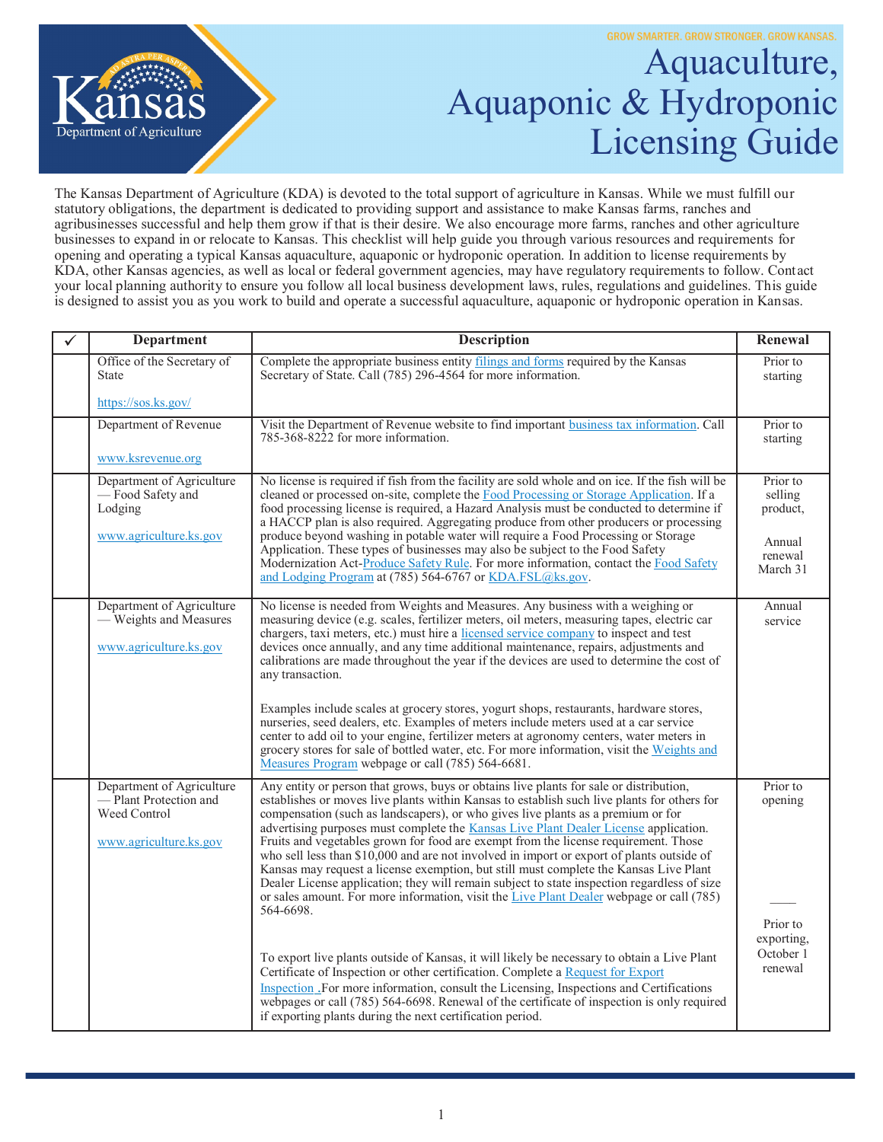

## Aquaculture, Aquaponic & Hydroponic Licensing Guide

The Kansas Department of Agriculture (KDA) is devoted to the total support of agriculture in Kansas. While we must fulfill our statutory obligations, the department is dedicated to providing support and assistance to make Kansas farms, ranches and agribusinesses successful and help them grow if that is their desire. We also encourage more farms, ranches and other agriculture businesses to expand in or relocate to Kansas. This checklist will help guide you through various resources and requirements for opening and operating a typical Kansas aquaculture, aquaponic or hydroponic operation. In addition to license requirements by KDA, other Kansas agencies, as well as local or federal government agencies, may have regulatory requirements to follow. Contact your local planning authority to ensure you follow all local business development laws, rules, regulations and guidelines. This guide is designed to assist you as you work to build and operate a successful aquaculture, aquaponic or hydroponic operation in Kansas.

| <b>Department</b>                                                                            | <b>Description</b>                                                                                                                                                                                                                                                                                                                                                                                                                                                                                                                                                                                                                                                                                                                                                                                                                                     | Renewal                                        |
|----------------------------------------------------------------------------------------------|--------------------------------------------------------------------------------------------------------------------------------------------------------------------------------------------------------------------------------------------------------------------------------------------------------------------------------------------------------------------------------------------------------------------------------------------------------------------------------------------------------------------------------------------------------------------------------------------------------------------------------------------------------------------------------------------------------------------------------------------------------------------------------------------------------------------------------------------------------|------------------------------------------------|
| Office of the Secretary of<br><b>State</b>                                                   | Complete the appropriate business entity filings and forms required by the Kansas<br>Secretary of State. Call (785) 296-4564 for more information.                                                                                                                                                                                                                                                                                                                                                                                                                                                                                                                                                                                                                                                                                                     | Prior to<br>starting                           |
| https://sos.ks.gov/                                                                          |                                                                                                                                                                                                                                                                                                                                                                                                                                                                                                                                                                                                                                                                                                                                                                                                                                                        |                                                |
| Department of Revenue                                                                        | Visit the Department of Revenue website to find important business tax information. Call<br>785-368-8222 for more information.                                                                                                                                                                                                                                                                                                                                                                                                                                                                                                                                                                                                                                                                                                                         | Prior to<br>starting                           |
| www.ksrevenue.org                                                                            |                                                                                                                                                                                                                                                                                                                                                                                                                                                                                                                                                                                                                                                                                                                                                                                                                                                        |                                                |
| Department of Agriculture<br>- Food Safety and<br>Lodging<br>www.agriculture.ks.gov          | No license is required if fish from the facility are sold whole and on ice. If the fish will be<br>cleaned or processed on-site, complete the Food Processing or Storage Application. If a<br>food processing license is required, a Hazard Analysis must be conducted to determine if<br>a HACCP plan is also required. Aggregating produce from other producers or processing<br>produce beyond washing in potable water will require a Food Processing or Storage                                                                                                                                                                                                                                                                                                                                                                                   | Prior to<br>selling<br>product,                |
|                                                                                              | Application. These types of businesses may also be subject to the Food Safety<br>Modernization Act-Produce Safety Rule. For more information, contact the Food Safety<br>and Lodging Program at (785) 564-6767 or KDA.FSL@ks.gov.                                                                                                                                                                                                                                                                                                                                                                                                                                                                                                                                                                                                                      | Annual<br>renewal<br>March 31                  |
| Department of Agriculture<br>- Weights and Measures<br>www.agriculture.ks.gov                | No license is needed from Weights and Measures. Any business with a weighing or<br>measuring device (e.g. scales, fertilizer meters, oil meters, measuring tapes, electric car<br>chargers, taxi meters, etc.) must hire a licensed service company to inspect and test<br>devices once annually, and any time additional maintenance, repairs, adjustments and<br>calibrations are made throughout the year if the devices are used to determine the cost of<br>any transaction.                                                                                                                                                                                                                                                                                                                                                                      | Annual<br>service                              |
|                                                                                              | Examples include scales at grocery stores, yogurt shops, restaurants, hardware stores,<br>nurseries, seed dealers, etc. Examples of meters include meters used at a car service<br>center to add oil to your engine, fertilizer meters at agronomy centers, water meters in<br>grocery stores for sale of bottled water, etc. For more information, visit the Weights and<br>Measures Program webpage or call (785) 564-6681.                                                                                                                                                                                                                                                                                                                                                                                                                          |                                                |
| Department of Agriculture<br>-Plant Protection and<br>Weed Control<br>www.agriculture.ks.gov | Any entity or person that grows, buys or obtains live plants for sale or distribution,<br>establishes or moves live plants within Kansas to establish such live plants for others for<br>compensation (such as landscapers), or who gives live plants as a premium or for<br>advertising purposes must complete the Kansas Live Plant Dealer License application.<br>Fruits and vegetables grown for food are exempt from the license requirement. Those<br>who sell less than \$10,000 and are not involved in import or export of plants outside of<br>Kansas may request a license exemption, but still must complete the Kansas Live Plant<br>Dealer License application; they will remain subject to state inspection regardless of size<br>or sales amount. For more information, visit the Live Plant Dealer webpage or call (785)<br>564-6698. | Prior to<br>opening                            |
|                                                                                              | To export live plants outside of Kansas, it will likely be necessary to obtain a Live Plant<br>Certificate of Inspection or other certification. Complete a Request for Export<br>Inspection For more information, consult the Licensing, Inspections and Certifications<br>webpages or call (785) 564-6698. Renewal of the certificate of inspection is only required<br>if exporting plants during the next certification period.                                                                                                                                                                                                                                                                                                                                                                                                                    | Prior to<br>exporting,<br>October 1<br>renewal |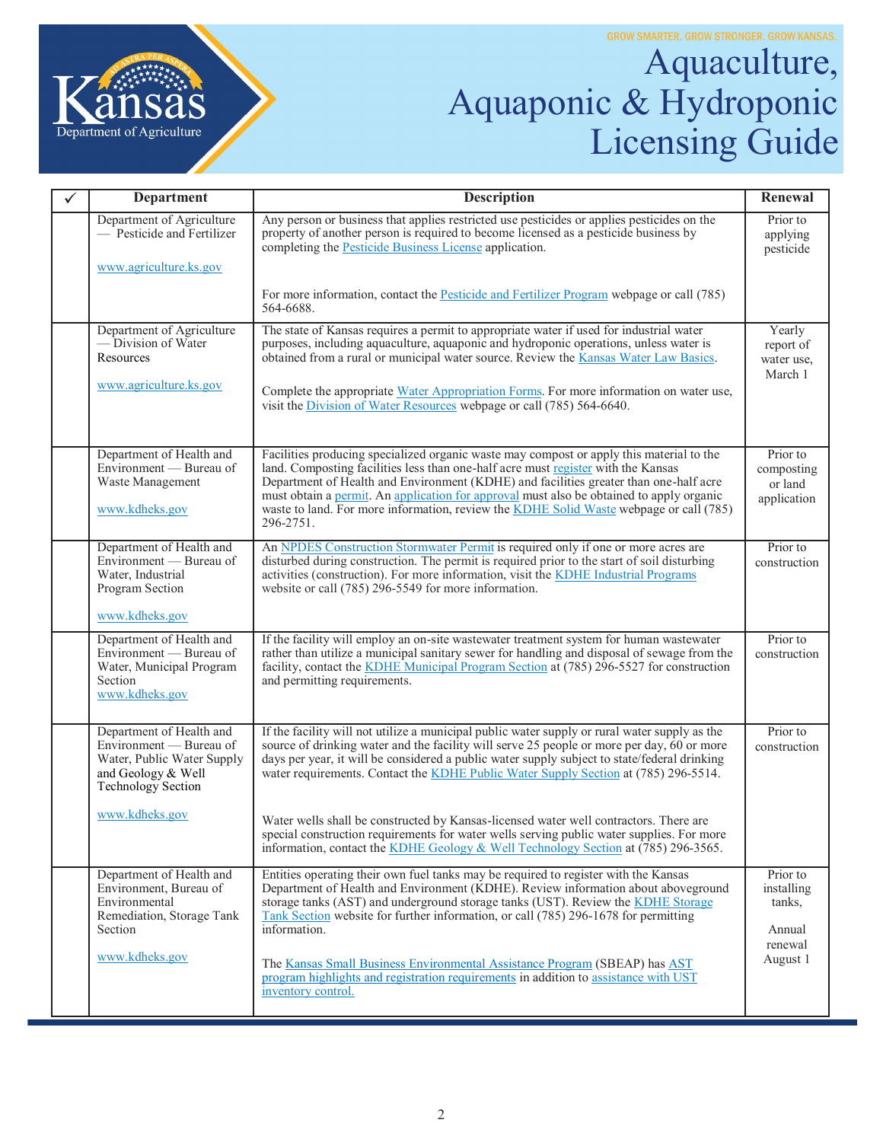

## Aquaculture, Aquaponic & Hydroponic Licensing Guide

| ✓ | <b>Department</b>                                                                                                             | <b>Description</b>                                                                                                                                                                                                                                                                                                                                                                                                                                                        | Renewal                                          |
|---|-------------------------------------------------------------------------------------------------------------------------------|---------------------------------------------------------------------------------------------------------------------------------------------------------------------------------------------------------------------------------------------------------------------------------------------------------------------------------------------------------------------------------------------------------------------------------------------------------------------------|--------------------------------------------------|
|   | Department of Agriculture<br>- Pesticide and Fertilizer                                                                       | Any person or business that applies restricted use pesticides or applies pesticides on the<br>property of another person is required to become licensed as a pesticide business by<br>completing the Pesticide Business License application.                                                                                                                                                                                                                              | Prior to<br>applying<br>pesticide                |
|   | www.agriculture.ks.gov                                                                                                        |                                                                                                                                                                                                                                                                                                                                                                                                                                                                           |                                                  |
|   |                                                                                                                               | For more information, contact the <b>Pesticide and Fertilizer Program</b> webpage or call (785)<br>564-6688.                                                                                                                                                                                                                                                                                                                                                              |                                                  |
|   | Department of Agriculture<br>-Division of Water<br>Resources                                                                  | The state of Kansas requires a permit to appropriate water if used for industrial water<br>purposes, including aquaculture, aquaponic and hydroponic operations, unless water is<br>obtained from a rural or municipal water source. Review the Kansas Water Law Basics.                                                                                                                                                                                                  | Yearly<br>report of<br>water use,<br>March 1     |
|   | www.agriculture.ks.gov                                                                                                        | Complete the appropriate Water Appropriation Forms. For more information on water use,<br>visit the Division of Water Resources webpage or call (785) 564-6640.                                                                                                                                                                                                                                                                                                           |                                                  |
|   | Department of Health and<br>Environment — Bureau of<br>Waste Management<br>www.kdheks.gov                                     | Facilities producing specialized organic waste may compost or apply this material to the<br>land. Composting facilities less than one-half acre must register with the Kansas<br>Department of Health and Environment (KDHE) and facilities greater than one-half acre<br>must obtain a permit. An application for approval must also be obtained to apply organic<br>waste to land. For more information, review the KDHE Solid Waste webpage or call (785)<br>296-2751. | Prior to<br>composting<br>or land<br>application |
|   | Department of Health and<br>Environment — Bureau of<br>Water, Industrial<br>Program Section<br>www.kdheks.gov                 | An NPDES Construction Stormwater Permit is required only if one or more acres are<br>disturbed during construction. The permit is required prior to the start of soil disturbing<br>activities (construction). For more information, visit the KDHE Industrial Programs<br>website or call (785) 296-5549 for more information.                                                                                                                                           | Prior to<br>construction                         |
|   | Department of Health and<br>Environment — Bureau of                                                                           | If the facility will employ an on-site wastewater treatment system for human wastewater<br>rather than utilize a municipal sanitary sewer for handling and disposal of sewage from the                                                                                                                                                                                                                                                                                    | Prior to<br>construction                         |
|   | Water, Municipal Program<br>Section<br>www.kdheks.gov                                                                         | facility, contact the KDHE Municipal Program Section at (785) 296-5527 for construction<br>and permitting requirements.                                                                                                                                                                                                                                                                                                                                                   |                                                  |
|   | Department of Health and<br>Environment — Bureau of<br>Water, Public Water Supply<br>and Geology & Well<br>Technology Section | If the facility will not utilize a municipal public water supply or rural water supply as the<br>source of drinking water and the facility will serve 25 people or more per day, $60$ or more<br>days per year, it will be considered a public water supply subject to state/federal drinking<br>water requirements. Contact the KDHE Public Water Supply Section at (785) 296-5514.                                                                                      | Prior to<br>construction                         |
|   | www.kdheks.gov                                                                                                                | Water wells shall be constructed by Kansas-licensed water well contractors. There are<br>special construction requirements for water wells serving public water supplies. For more<br>information, contact the KDHE Geology & Well Technology Section at $(785)$ 296-3565.                                                                                                                                                                                                |                                                  |
|   | Department of Health and<br>Environment, Bureau of<br>Environmental<br>Remediation, Storage Tank<br>Section                   | Entities operating their own fuel tanks may be required to register with the Kansas<br>Department of Health and Environment (KDHE). Review information about above ground<br>storage tanks (AST) and underground storage tanks (UST). Review the KDHE Storage<br>Tank Section website for further information, or call (785) 296-1678 for permitting<br>information.                                                                                                      | Prior to<br>installing<br>tanks,<br>Annual       |
|   | www.kdheks.gov                                                                                                                | The Kansas Small Business Environmental Assistance Program (SBEAP) has AST<br>program highlights and registration requirements in addition to assistance with UST<br>inventory control.                                                                                                                                                                                                                                                                                   | renewal<br>August 1                              |